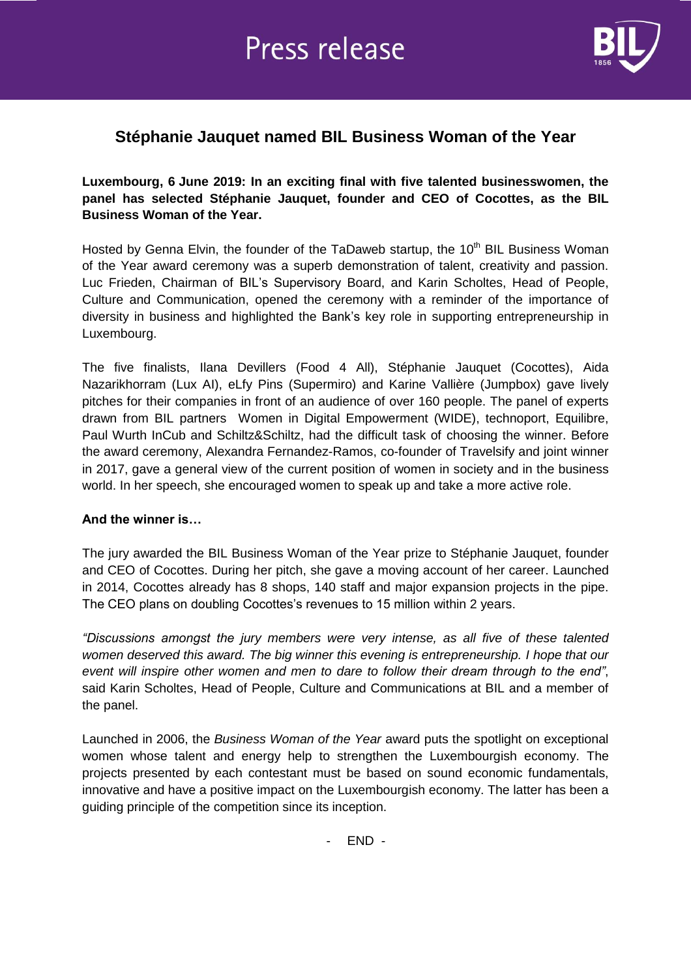

## **Stéphanie Jauquet named BIL Business Woman of the Year**

**Luxembourg, 6 June 2019: In an exciting final with five talented businesswomen, the panel has selected Stéphanie Jauquet, founder and CEO of Cocottes, as the BIL Business Woman of the Year.**

Hosted by Genna Elvin, the founder of the TaDaweb startup, the 10<sup>th</sup> BIL Business Woman of the Year award ceremony was a superb demonstration of talent, creativity and passion. Luc Frieden, Chairman of BIL's Supervisory Board, and Karin Scholtes, Head of People, Culture and Communication, opened the ceremony with a reminder of the importance of diversity in business and highlighted the Bank's key role in supporting entrepreneurship in Luxembourg.

The five finalists, Ilana Devillers (Food 4 All), Stéphanie Jauquet (Cocottes), Aida Nazarikhorram (Lux AI), eLfy Pins (Supermiro) and Karine Vallière (Jumpbox) gave lively pitches for their companies in front of an audience of over 160 people. The panel of experts drawn from BIL partners Women in Digital Empowerment (WIDE), technoport, Equilibre, Paul Wurth InCub and Schiltz&Schiltz, had the difficult task of choosing the winner. Before the award ceremony, Alexandra Fernandez-Ramos, co-founder of Travelsify and joint winner in 2017, gave a general view of the current position of women in society and in the business world. In her speech, she encouraged women to speak up and take a more active role.

### **And the winner is…**

The jury awarded the BIL Business Woman of the Year prize to Stéphanie Jauquet, founder and CEO of Cocottes. During her pitch, she gave a moving account of her career. Launched in 2014, Cocottes already has 8 shops, 140 staff and major expansion projects in the pipe. The CEO plans on doubling Cocottes's revenues to 15 million within 2 years.

*"Discussions amongst the jury members were very intense, as all five of these talented women deserved this award. The big winner this evening is entrepreneurship. I hope that our event will inspire other women and men to dare to follow their dream through to the end"*, said Karin Scholtes, Head of People, Culture and Communications at BIL and a member of the panel.

Launched in 2006, the *Business Woman of the Year* award puts the spotlight on exceptional women whose talent and energy help to strengthen the Luxembourgish economy. The projects presented by each contestant must be based on sound economic fundamentals, innovative and have a positive impact on the Luxembourgish economy. The latter has been a guiding principle of the competition since its inception.

- END -